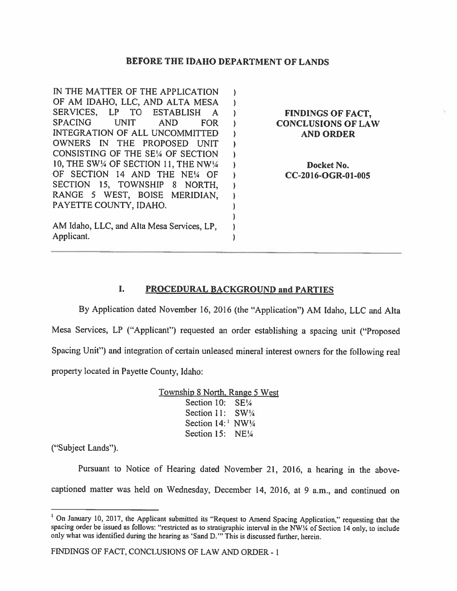### BEFORE THE IDAHO DEPARTMENT OF LANDS

IN THE MATTER OF THE APPLICATION  $\mathcal{F}$ OF AM IDAHO, LLC, AND ALTA MESA  $\mathbf{L}$ SERVICES, LP TO ESTABLISH A ) FINDINGS OF FACT,<br>SPACING UNIT AND FOR ) CONCLUSIONS OF LAN UNIT AND FOR ) CONCLUSIONS OF LAW INTEGRATION OF ALL UNCOMMITTED ) AND ORDER OWNERS [N THE PROPOSED UNIT  $\mathbf{L}$ CONSISTING OF THE SE¼ OF SECTION 1 10, THE SW¼ OF SECTION 11, THE NW¼ ) Docket No. OF SECTION <sup>14</sup> AND THE NE¼ OF ) CC-2016-OGR-O1-005 SECTION 15, TOWNSHIP 8 NORTH,  $\lambda$ RANGE 5 WEST, BOISE MERIDIAN,  $\mathbf{I}$ PAYETTE COUNTY, IDAHO. ١ AM Idaho, LLC, and Alta Mesa Services, LP,  $\lambda$ Applicant.  $\lambda$ 

## I. PROCEDURAL BACKGROUND and PARTIES

By Application dated November 16, 2016 (the "Application") AM Idaho, LLC and Alta Mesa Services, LP ("Applicant") requested an order establishing <sup>a</sup> spacing unit ("Proposed Spacing Unit") and integration of certain unleased mineral interest owners for the following real property located in Payette County, Idaho:

> Township 8 North. Range 5 West Section 10: SE1/4 Section 11: SW14 Section 14:<sup>1</sup> NW1/4 Section 15: NE1/4

("Subject Lands").

Pursuant to Notice of Hearing dated November 21, 2016, <sup>a</sup> hearing in the abovecaptioned matter was held on Wednesday, December 14, 2016, at 9 a.m., and continued on

<sup>&</sup>lt;sup>1</sup> On January 10, 2017, the Applicant submitted its "Request to Amend Spacing Application," requesting that the spacing order be issued as follows: "restricted as to stratigraphic interval in the NW¼ of Section 14 only, to include only what was identified during the hearing as 'Sand D." This is discussed further, herein.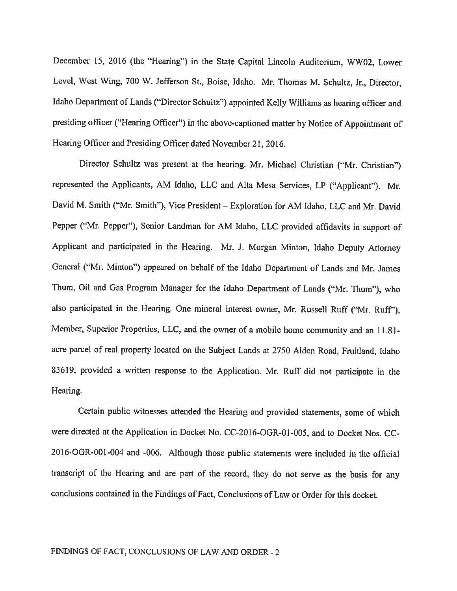December 15, 2016 (the "Hearing") in the State Capital Lincoln Auditorium, WW02, Lower Level, West Wing, <sup>700</sup> W. Jefferson St., Boise, Idaho. Mr. Thomas M. Schultz, Jr., Director, Idaho Department of Lands ("Director Schultz") appointed Kelly Williams as hearing officer and presiding officer ("Hearing Officer") in the above-captioned matter by Notice of Appointment of Hearing Officer and Presiding Officer dated November 21, 2016.

Director Schultz was present at the hearing. Mr. Michael Christian ("Mr. Christian") represented the Applicants, AM Idaho, LLC and Alta Mesa Services, LP ("Applicant"). Mr. David M. Smith ("Mr. Smith"), Vice President — Exploration for AM Idaho. LLC and Mr. David Pepper ("Mr. Pepper"), Senior Landman for AM Idaho, LLC provided affidavits in support of Applicant and participated in the Hearing. Mr. J. Morgan Minton, Idaho Deputy Attorney General ("Mr. Minton") appeared on behalf of the Idaho Department of Lands and Mr. James Thum, Oil and Gas Program Manager for the Idaho Department of Lands ("Mr. Thum"), who also participated in the Hearing. One mineral interest owner, Mr. Russell Ruff ("Mr. Ruff"), Member, Superior Properties, LLC, and the owner of <sup>a</sup> mobile home community and an 11.8 1 acre parcel of real property located on the Subject Lands at <sup>2750</sup> Alden Road, Fruitland, Idaho 83619, provided <sup>a</sup> written response to the Application. Mr. Ruff did not participate in the Hearing.

Certain public witnesses attended the Hearing and provided statements, some of which were directed at the Application in Docket No. CC-2016-OGR-0I-005, and to Docket Nos. CC 20l6-OGR-00I-004 and -006. Although those public statements were included in the official transcript of the Hearing and are part of the record, they do not serve as the basis for any conclusions contained in the Findings of Fact, Conclusions of Law or Order for this docket.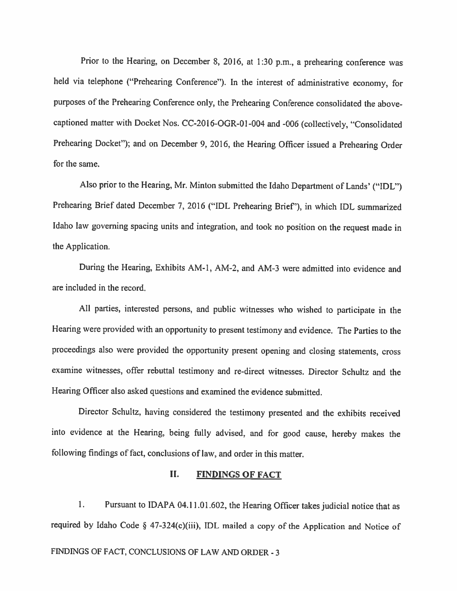Prior to the Hearing, on December 8, 2016, at 1:30 p.m., <sup>a</sup> prehearing conference was held via telephone ("Prehearing Conference"). In the interest of administrative economy, for purposes of the Prehearing Conference only, the Prehearing Conference consolidated the abovecaptioned matter with Docket Nos. CC-2016-OGR-01-004 and -006 (collectively, "Consolidated Prehearing Docket"); and on December 9, 2016, the Hearing Officer issued a Prehearing Order for the same.

Also prior to the Hearing, Mr. Minton submitted the Idaho Department of Lands' ("IDL") Prehearing Brief dated December 7. <sup>2016</sup> ("IDL Prehearing Brief'), in which IDL summarized Idaho law governing spacing units and integration, and took no position on the request made in the Application.

During the Hearing, Exhibits AM-I, AM-2, and AM-3 were admitted into evidence and are included in the record.

All parties, interested persons, and public witnesses who wished to participate in the Hearing were provided with an opportunity to present testimony and evidence. The Parties to the proceedings also were provided the opportunity present opening and closing statements, cross examine witnesses, offer rebuttal testimony and re-direct witnesses. Director Schultz and the Hearing Officer also asked questions and examined the evidence submitted.

Director Schultz, having considered the testimony presented and the exhibits received into evidence at the Hearing, being thily advised, and for good cause, hereby makes the following findings of fact, conclusions of law, and order in this matter.

# II. FINDINGS OF FACT

1. Pursuant to IDAPA 04.11.01.602, the Hearing Officer takes judicial notice that as required by Idaho Code § 47-324(c)(iii), IDL mailed <sup>a</sup> copy of the Application and Notice of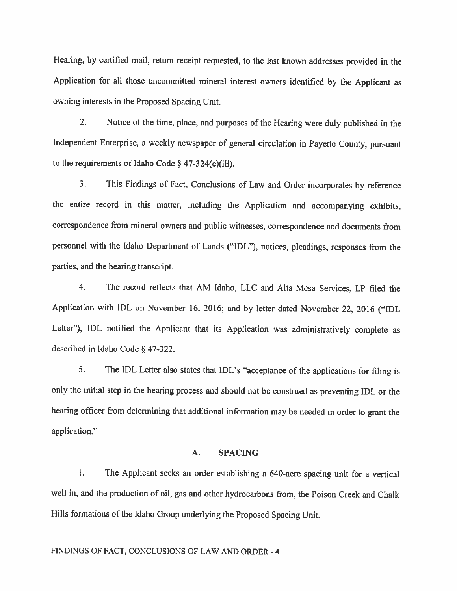Hearing, by certified mail, return receipt requested, to the last known addresses provided in the Application for all those uncommitted mineral interest owners identified by the Applicant as owning interests in the Proposed Spacing Unit.

2. Notice of the time, <sup>p</sup>lace, and purposes of the Hearing were duly published in the Independent Enterprise. <sup>a</sup> weekly newspaper of general circulation in Payette County, pursuant to the requirements of Idaho Code  $\S$  47-324(c)(iii).

3. This Findings of Fact, Conclusions of Law and Order incorporates by reference the entire record in this matter, including the Application and accompanying exhibits, correspondence from mineral owners and public witnesses, correspondence and documents from personnel with the Idaho Department of Lands ("IDL"), notices, pleadings, responses from the parties, and the hearing transcript.

4. The record reflects that AM Idaho, LLC and AIta Mesa Services, LP filed the Application with IDL on November 16, 2016; and by letter dated November 22, <sup>2016</sup> ("IDL Letter"), IDL notified the Applicant that its Application was administratively complete as described in Idaho Code § 47-322.

5. The IDL Letter also states that IDL's "acceptance of the applications for filing is only the initial step in the hearing process and should not be construed as preventing IDL or the hearing officer from determining that additional information may be needed in order to grant the application."

### A. SPACING

1. The Applicant seeks an order establishing <sup>a</sup> 640-acre spacing unit for <sup>a</sup> vertical well in, and the production of oil, gas and other hydrocarbons from, the Poison Creek and Chalk Hills formations of the Idaho Group underlying the Proposed Spacing Unit.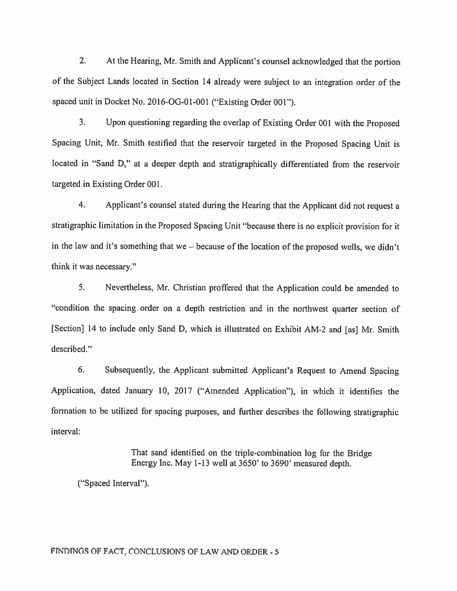2. At the Hearing. Mr. Smith and Applicant's counsel acknowledged that the portion of the Subject Lands located in Section <sup>14</sup> already were subject to an integration order of the spaced unit in Docket No. 2016-OG-01-001 ("Existing Order 001").

3. Upon questioning regarding the overlap of Existing Order <sup>001</sup> with the Proposed Spacing Unit, Mr. Smith testified that the reservoir targeted in the Proposed Spacing Unit is located in "Sand D," at <sup>a</sup> deeper depth and stratigraphically differentiated from the reservoir targeted in Existing Order 001.

4. Applicant's counsel stated during the Hearing that the Applicant did not request <sup>a</sup> stratigraphic limitation in the Proposed Spacing Unit "because there is no explicit provision for it in the law and it's something that we  $=$  because of the location of the proposed wells, we didn't think it was necessary."

5. Nevertheless. Mr. Christian proffered that the Application could be amended to "condition the spacing order on <sup>a</sup> depth restriction and in the northwest quarter section of [Section] 14 to include only Sand D, which is illustrated on Exhibit AM-2 and [as] Mr. Smith described."

6. Subsequently, the Applicant submitted Applicant's Request to Amend Spacing Application, dated January 10, 2017 ("Amended Application"), in which it identifies the formation to be utilized for spacing purposes, and further describes the following stratigraphic interval:

> That sand identified on the triple-combination log for the Bridge Energy Inc. May 1-13 well at 3650' to 3690' measured depth.

("Spaced Interval").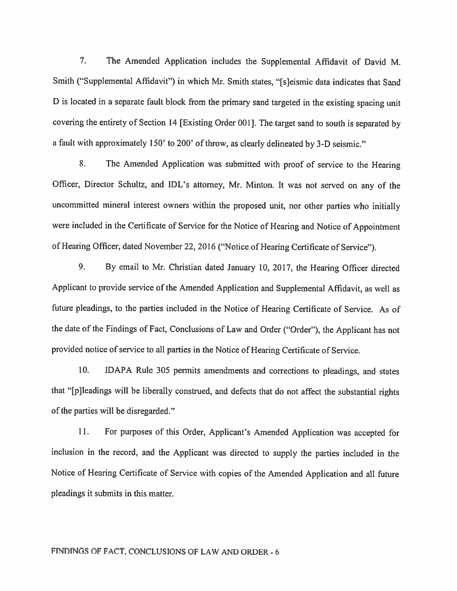7. The Amended Application includes the Supplemental Affidavit of David M. Smith ("Supplemental Affidavit") in which Mr. Smith states, "[sjeismic data indicates that Sand <sup>D</sup> is located in <sup>a</sup> separate fault block from the primary sand targeted in the existing spacing unit covering the entirety of Section <sup>14</sup> [Existing Order 001]. The target sand to south is separated by <sup>a</sup> fault with approximately 150' to 200' of throw, as clearly delineated by 3-D seismic."

8. The Amended Application was submitted with proof of service to the Hearing Officer, Director Schultz, and IDL's attorney, Mr. Minton. It was not served on any of the uncommitted mineral interest owners within the proposed unit, nor other parties who initially were included in the Certificate of Service for the Notice of Hearing and Notice of Appointment of Hearing Officer, dated November 22, <sup>2016</sup> ("Notice of Hearing Certificate of Service").

9. By email to Mr. Christian dated January 10, 2017, the Hearing Officer directed Applicant to provide service of the Amended Application and Supplemental Affidavit, as well as future <sup>p</sup>ieadings, to the parties included in the Notice of Hearing Certificate of Service. As of the date of the Findings of Fact, Conclusions of Law and Order ("Order"), the Applicant has not provided notice of service to all parties in the Notice of Hearing Certificate of Service.

10. IDAPA Rule <sup>305</sup> permits amendments and corrections to <sup>p</sup>leadings, and states that "[p]leadings will be liberally construed, and defects that do not affect the substantial rights of the parties will be disregarded."

II. For purposes of this Order, Applicant's Amended Application was accepted for inclusion in the record, and the Applicant was directed to supply the parties included in the Notice of Hearing Certificate of Service with copies of the Amended Application and all future pleadings it submits in this matter.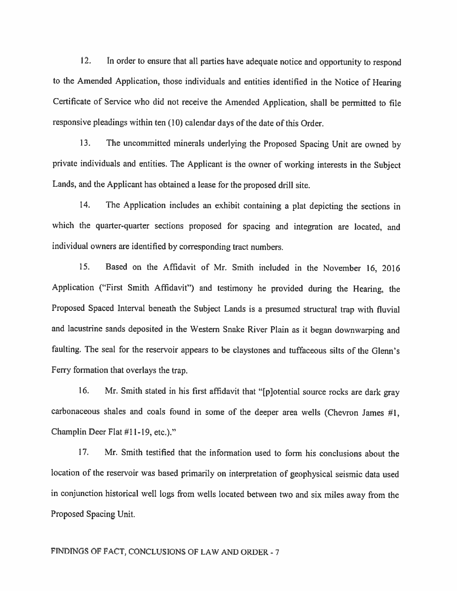12. In order to ensure that all parties have adequate notice and opportunity to respond to the Amended Application, those individuals and entities identified in the Notice of Hearing Certificate of Service who did not receive the Amended Application, shall be permitted to file responsive <sup>p</sup>leadings within ten (10) calendar days of the date of this Order.

13. The uncommitted minerals underlying the Proposed Spacing Unit are owned by privale individuals and entities. The Applicant is the owner of working interests in the Subject Lands, and the Applicant has obtained <sup>a</sup> lease for the proposed drill site.

14. The Application includes an exhibit containing <sup>a</sup> <sup>p</sup>lat depicting the sections in which the quarter-quarter sections proposed for spacing and integration are located, and individual owners are identified by corresponding tract numbers.

15. Based on the Affidavit of Mr. Smith included in the November 16, <sup>2016</sup> Application ("First Smith Affidavit") and testimony he provided during the Hearing, the Proposed Spaced Interval beneath the Subject Lands is <sup>a</sup> presumed structural trap with fluvial and lacustrine sands deposited in the Western Snake River Plain as it began downwarping and faulting. The seal for the reservoir appears to be claystones and tuffaceous silts of the Glenn's Ferry formation that overlays the trap.

16. Mr. Smith stated in his first affidavit that "[p]otential source rocks are dark gray carbonaceous shales and coals found in some of the deeper area wells (Chevron James #1, Champlin Deer Fiat #11-19, etc.)."

17. Mr. Smith testified that the information used to form his conclusions about the location of the reservoir was based primarily on interpretation of geophysical seismic data used in conjunction historical well logs from wells located between two and six miles away from the Proposed Spacing Unit.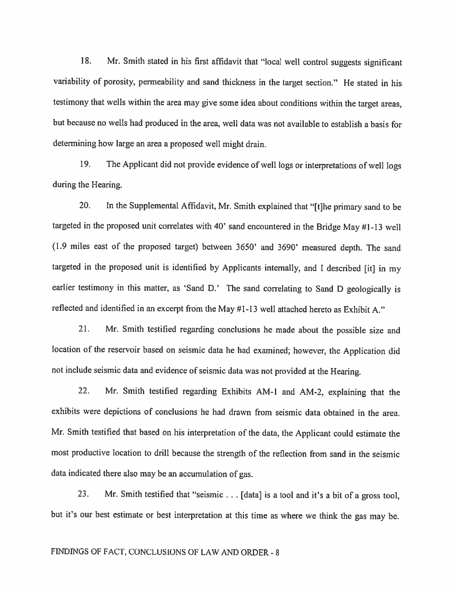18. Mr. Smith stated in his first affidavit that "local well control suggests significant variability of porosity, permeability and sand thickness in the target section." He stated in his testimony that wells within the area may <sup>g</sup>ive some idea about conditions within the target areas, but because no wells had produced in the area, well data was not available to establish <sup>a</sup> basis for determining how large an area <sup>a</sup> proposed well might drain.

19. The Applicant did not provide evidence of well logs or interpretations of well logs during the Hearing.

20. In the Supplemental Affidavit, Mr. Smith explained that "[t]he primary sand to be targeted in the proposed unit correlates with 40' sand encountered in the Bridge May #1-13 well (1.9 miles east of the proposed target) between 3650' and 3690' measured depth. The sand targeted in the proposed unit is identified by Applicants internally, and <sup>I</sup> described [it] in my earlier testimony in this matter, as 'Sand D.' The sand correlating to Sand D geologically is reflected and identified in an excerpt from the May #1-13 well attached hereto as Exhibit A."

21. Mr. Smith testified regarding conclusions he made about the possible size and location of the reservoir based on seismic data he had examined; however, the Application did not include seismic data and evidence of seismic data was not provided at the Hearing.

22. Mr. Smith testified regarding Exhibits AM-1 and AM-2, explaining that the exhibits were depictions of conclusions he had drawn from seismic data obtained in the area. Mr. Smith testified that based on his interpretation of the data, the Applicant could estimate the most productive location to drill because the strength of the reflection from sand in the seismic data indicated there also may be an accumulation of gas.

23. Mr. Smith testified that "seismic . . . [data] is <sup>a</sup> tool and it's <sup>a</sup> bit of <sup>a</sup> gross tool, but it's our best estimate or best interpretation at this time as where we think the gas may be.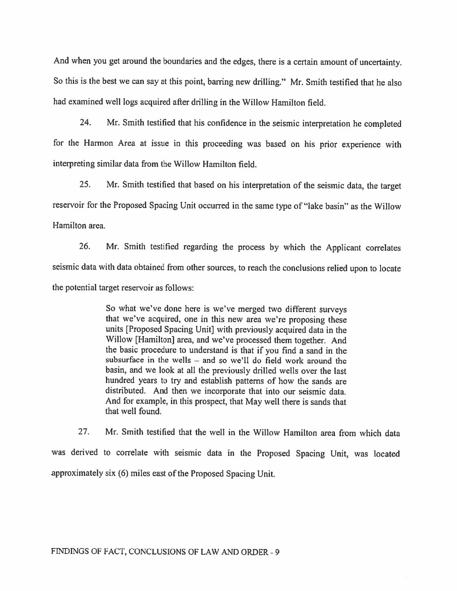And when you get around the boundaries and the edges, there is <sup>a</sup> certain amount of uncertainty. So this is the best we can say at this point, barring new drilling." Mr. Smith testified that he also had examined well logs acquired after drilling in the Willow Hamilton field.

24. Mr. Smith testified that his confidence in the seismic interpretation he compieted for the Harmon Area at issue in this proceeding was based on his prior experience with interpreting similar data from the Willow Hamilton field.

25. Mr. Smith testified that based on his interpretation of the seismic data, the target reservoir for the Proposed Spacing Unit occurred in the same type of "lake basin" as the Willow Hamilton area.

26. Mr. Smith testified regarding the process by which the Applicant correlates seismic data with data obtained from other sources, to reach the conclusions relied upon to locate the potential target reservoir as follows:

> So what we've done here is we've merged two different surveys that we've acquired, one in this new area we're proposing these units [Proposed Spacing Unit] with previously acquired data in the Willow [Hamilton] area, and we've processed them together. And the basic procedure to understand is that if you find <sup>a</sup> sand in the subsurface in the wells — and so we'll do field work around the basin, and we look at all the previously drilled wells over the last hundred years to try and establish patterns of how the sands are distributed. And then we incorporate that into our seismic data. And for example, in this prospect, that May well there is sands that that well found.

27. Mr. Smith testified that the well in the Willow Hamilton area from which data was derived to correlate with seismic data in the Proposed Spacing Unit, was located approximately six (6) miles east of the Proposed Spacing Unit.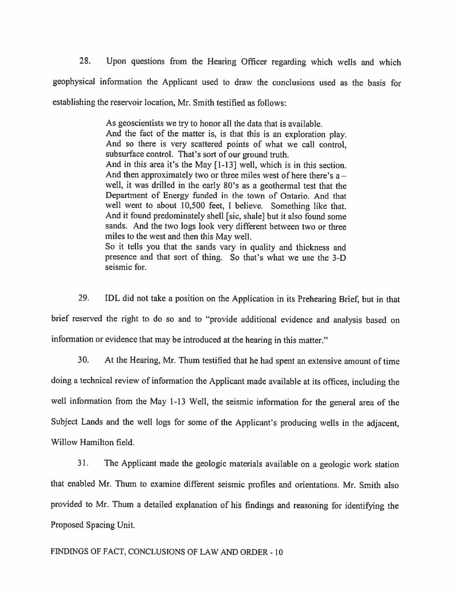28. Upon questions from the Hearing Officer regarding which wells and which geophysical information the Applicant used to draw the conclusions used as the basis for establishing the reservoir location, Mr. Smith testified as follows:

> As geoscientists we try to honor all the data that is available. And the fact of the matter is, is that this is an exploration <sup>p</sup>lay. And so there is very scattered points of what we call control, subsurface control. That's sort of our ground truth. And in this area it's the May [1-13] well, which is in this section. And then approximately two or three miles west of here there's  $a$ well, it was drilled in the early 80's as <sup>a</sup> geothermal test that the Department of Energy funded in the town of Ontario. And that well went to about 10,500 feet, <sup>I</sup> believe. Something like that. And it found predominately shell [sic, shale] but it also found some sands. And the two logs look very different between two or three miles to the west and then this May well. So it tells you that the sands vary in quality and thickness and presence and that sort of thing. So that's what we use the 3-D seismic for.

29. DL did not take <sup>a</sup> position on the Application in its Prehearing Brief, but in that brief reserved the right to do so and to "provide additional evidence and analysis based on information or evidence that may be introduced at the hearing in this matter."

30. At the Hearing, Mr. Thum testified that he had spent an extensive amount of time doing <sup>a</sup> technical review of information the Applicant made available at its offices, including the well information from the May 1-13 Well, the seismic information for the general area of the Subject Lands and the well logs for some of the Applicant's producing wells in the adjacent, Willow Hamilton field.

31. The Applicant made the geologic materials available on <sup>a</sup> geologic work station that enabled Mr. Thum to examine different seismic profiles and orientations. Mr. Smith also provided to Mr. Thum <sup>a</sup> detailed explanation of his findings and reasoning for identifying the Proposed Spacing Unit.

### FINDINGS OF FACT, CONCLUSIONS OF LAW AND ORDER - 10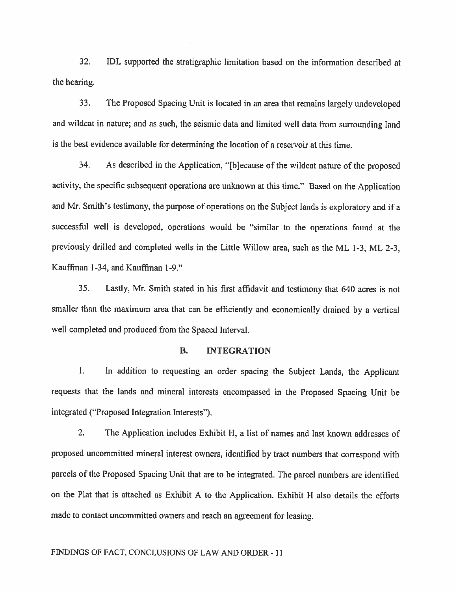32. IDL supported the stratigraphic limitation based on the information described at the hearing.

33. The Proposed Spacing Unit is located in an area that remains largely undeveloped and wildcat in nature; and as such, the seismic data and limited well data from surrounding land is the best evidence available for determining the location of <sup>a</sup> reservoir at this time.

34. As described in the Application, "[b]ecause of the wildcat nature of the propose<sup>d</sup> activity, the specific subsequent operations are unknown at this time." Based on the Application and Mr. Smith's testimony, the purpose of operations on the Subject lands is exploratory and if <sup>a</sup> successfiul well is developed, operations would be "similar to the operations found at the previously drilled and completed wells in the Little Willow area, such as the ML 1-3, ML 2-3, Kauffman 1-34, and Kauffman 1-9."

35. Lastly, Mr. Smith stated in his first affidavit and testimony that <sup>640</sup> acres is not smaller than the maximum area that can be efficiently and economically drained by <sup>a</sup> vertical well completed and produced from the Spaced Interval.

### B. INTEGRATION

I. In addition to requesting an order spacing the Subject Lands, the Applicant requests that the lands and mineral interests encompasse<sup>d</sup> in the Proposed Spacing Unit be integrated ("Proposed Integration Interests").

2. The Application includes Exhibit H, <sup>a</sup> list of names and last known addresses of propose<sup>d</sup> uncommitted mineral interest owners, identified by tract numbers that correspon<sup>d</sup> with parcels of the Proposed Spacing Unit that are to be integrated. The parce<sup>l</sup> numbers are identified on the Plat that is attached as Exhibit <sup>A</sup> to the Application. Exhibit <sup>H</sup> also details the efforts made to contact uncommitted owners and reach an agreemen<sup>t</sup> for leasing.

#### FINDINGS OF FACT, CONCLUSIONS OF LAW AND ORDER -Il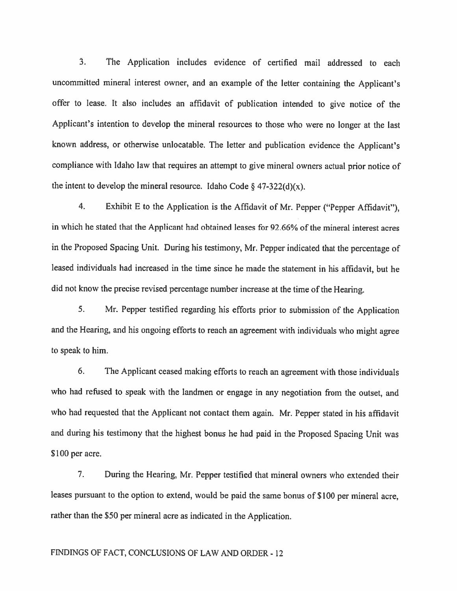3. The Application includes evidence of certified mail addressed to each uncommitted mineral interest owner, and an example of the letter containing the Applicant's offer to lease. It also includes an affidavit of publication intended to <sup>g</sup>ive notice of the Applicant's intention to develop the mineral resources to those who were no longer at the last known address, or otherwise unlocatable. The letter and publication evidence the Applicant's compliance with Idaho law that requires an attempt to <sup>g</sup>ive mineral owners actual prior notice of the intent to develop the mineral resource. Idaho Code  $\S$  47-322(d)(x).

4. Exhibit <sup>E</sup> to the Application is the Affidavit of Mr. Pepper ("Pepper Affidavit"), in which he stated that the Applicant had obtained leases for 92.66% of the mineral interest acres in the Proposed Spacing Unit. During his testimony, Mr. Pepper indicated that the percentage of leased individuals had increased in the time since he made the statement in his affidavit, but he did not know the precise revised percentage number increase at the time of the Hearing.

5. Mr. Pepper testified regarding his efforts prior to submission of the Application and the Hearing, and his ongoing efforts to reach an agreemen<sup>t</sup> with individuals who might agree to speak to him.

6. The Applicant ceased making efforts to reach an agreemen<sup>t</sup> with those individuals who had refused to spea<sup>k</sup> with the landmen or engage in any negotiation from the outset, and who had requested that the Applicant not contact them again. Mr. Pepper stated in his affidavit and during his testimony that the highest bonus he had paid in the Proposed Spacing Unit was \$100 per acre.

7. During the Hearing, Mr. Pepper testified that mineral owners who extended their leases pursuan<sup>t</sup> to the option to extend, would be paid the same bonus of \$100 per mineral acre, rather than the 550 per mineral acre as indicated in the Application.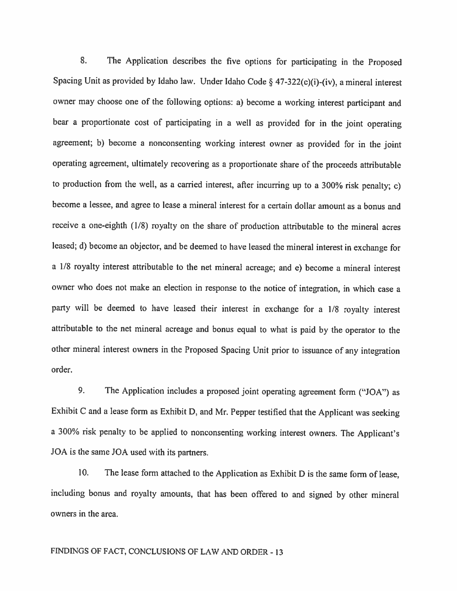8. The Application describes the five options for participating in the Proposed Spacing Unit as provided by Idaho law. Under Idaho Code § 47-322(c)(i)-(iv), <sup>a</sup> mineral interest owner may choose one of the following options: a) become <sup>a</sup> working interest participant and bear <sup>a</sup> proportionate cost of participating in <sup>a</sup> well as provided for in the joint operating agreement; b) become <sup>a</sup> nonconsenting working interest owner as provided for in the joint operating agreement, ultimately recovering as <sup>a</sup> proportionate share of the proceeds attributable to production from the well, as <sup>a</sup> carried interest, after incurring up to <sup>a</sup> 300% risk penalty; c) become <sup>a</sup> lessee, and agree to lease <sup>a</sup> mineral interest for <sup>a</sup> certain dollar amount as <sup>a</sup> bonus and receive <sup>a</sup> one-eighth (1/8) royalty on the share of production attributable to the mineral acres leased; d) become an objector, and be deemed to have leased the mineral interest in exchange for <sup>a</sup> 1/8 royalty interest attributable to the net mineral acreage; and e) become <sup>a</sup> mineral interest owner who does not make an election in response to the notice of integration, in which case <sup>a</sup> party will be deemed to have leased their interest in exchange for <sup>a</sup> 1/8 royalty interest attributable to the net mineral acreage and bonus equa<sup>l</sup> to what is paid by the operator to the other mineral interest owners in the Proposed Spacing Unit prior to issuance of any integration order.

9. The Application includes <sup>a</sup> proposed joint operating agreement form ("JOA") as Exhibit <sup>C</sup> and <sup>a</sup> lease form as Exhibit D, and Mr. Pepper testified that the Applicant was seeking <sup>a</sup> 300% risk penalty to be applied to nonconsenting working interest owners. The Applicant's JOA is the same JOA used with its partners.

10. The lease form attached to the Application as Exhibit <sup>D</sup> is the same form of lease, including bonus and royalty amounts, that has been offered to and signed by other mineral owners in the area.

## FINDINGS OF FACT, CONCLUSIONS OF LAW AND ORDER - 13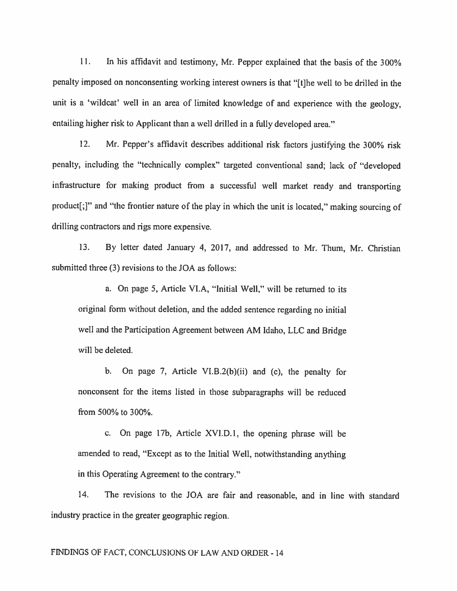II. In his affidavit and testimony, Mr. Pepper explained that the basis of the 300% penalty imposed on nonconsenting working interest owners is that "[t]he well to be drilled in the unit is <sup>a</sup> 'wildcat' well in an area of limited knowledge of and experience with the geology, entailing higher risk to Applicant than a well drilled in a fully developed area."

12. Mr. Pepper's affidavit describes additional risk factors justifying the 300% risk penalty, including the "technically complex" targeted conventional sand; lack of "developed infrastructure for making product from <sup>a</sup> successftil well market ready and transporting product[;j" and "the frontier nature of the <sup>p</sup>lay in which the unit is located," making sourcing of drilling contractors and rigs more expensive.

13. By letter dated January 4, 2017, and addressed to Mr. Thum, Mr. Christian submitted three  $(3)$  revisions to the JOA as follows:

a. On page 5, Article Vl.A, "Initial Well," will be returned to its original form without deletion, and the added sentence regarding no initial well and the Participation Agreement between AM Idaho, LLC and Bridge will be deleted.

b. On page 7, Article V1.B.2(b)(ii) and (c), the penalty for nonconsent for the items listed in those subparagraphs will be reduced from 500% to 300%.

c. On page 17b, Article XVI.D.l, the opening <sup>p</sup>hrase will be amended to read, "Except as to the Initial Well, notwithstanding anything in this Operating Agreement to the contrary."

14. The revisions to the JOA are fair and reasonable, and in line with standard industry practice in the greater geographic region.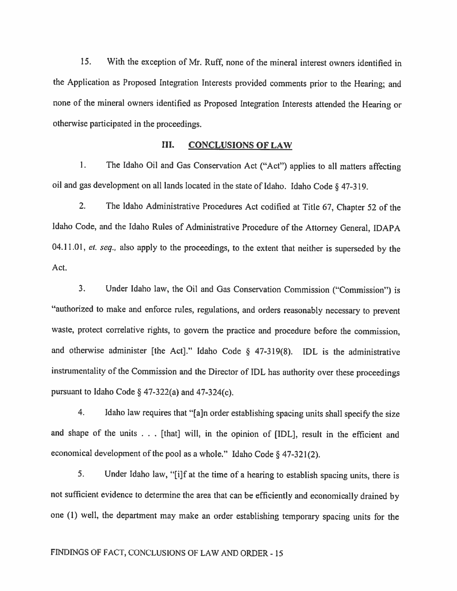15. With the exception of Mr. Ruff, none of the mineral interest owners identified in the Application as Proposed Integration Interests provided comments prior to the Hearing; and none of the mineral owners identified as Proposed Integration Interests attended the Hearing or othenvise participated in the proceedings.

#### III. CONCLUSIONS OF LAW

1. The Idaho Oil and Gas Conservation Act ("Act") applies to all matters affecting oil and gas development on all lands located in the state of Idaho. Idaho Code § 47-3 19.

2. The Idaho Administrative Procedures Act codified at Title 67, Chapter <sup>52</sup> of the Idaho Code, and the Idaho Rules of Administrative Procedure of the Attorney General, IDAPA 04.11.01, et. seq., also apply to the proceedings, to the extent that neither is superseded by the Act.

3. Under Idaho law, the Oil and Gas Conservation Commission ("Commission") is "authorized to make and enforce rules, regulations, and orders reasonably necessary to prevent waste, protect correlative rights, to govern the practice and procedure before the commission, and otherwise administer [the Act]." Idaho Code  $\S$  47-319(8). IDL is the administrative instrumentality of the Commission and the Director of IDL has authority over these proceedings pursuant to Idaho Code  $\S$  47-322(a) and 47-324(c).

4. Idaho law requires that "[a]n order establishing spacing units shall specify the size and shape of the units . . . [that] will, in the opinion of [IDL], result in the efficient and economical development of the pool as a whole." Idaho Code  $\S$  47-321(2).

5. Under Idaho law. "[i]f at the time of <sup>a</sup> hearing to establish spacing units, there is not sufficient evidence to determine the area that can be efficiently and economically drained by one (I) vel1, the department may make an order establishing temporary spacing units for the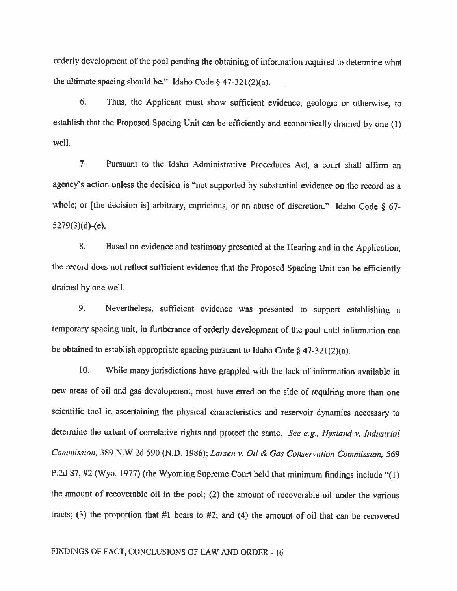orderly development of the poo<sup>l</sup> pending the obtaining of information required to determine what the ultimate spacing should be." Idaho Code  $\S$  47-321(2)(a).

6. Thus, the Applicant must show sufficient evidence, geologic or otherwise, to establish that the Proposed Spacing Unit can be efficiently and economically drained by one (1) well.

7. Pursuant to the Idaho Administrative Procedures Act, <sup>a</sup> court shall affirm an agency's action unless the decision is "not supported by substantial evidence on the record as <sup>a</sup> whole; or [the decision is] arbitrary, capricious, or an abuse of discretion." Idaho Code § 67-5279(3)(d)-(e).

8. Based on evidence and testimony presented at the Hearing and in the Application, the record does not reflect sufficient evidence that the Proposed Spacing Unit can be efficiently drained by one well.

9. Nevertheless, sufficient evidence was presented to support establishing <sup>a</sup> temporary spacing unit, in furtherance of orderly development of the poo<sup>l</sup> until information can be obtained to establish appropriate spacing pursuant to Idaho Code  $\S$  47-321(2)(a).

10. While many jurisdictions have grappled with the lack of information available in new areas of oil and gas development, most have erred on the side of requiring more than one scientific tool in ascertaining the <sup>p</sup>hysical characteristics and reservoir dynamics necessary to determine the extent of correlative rights and protect the same. See e.g., Hystand v. Industrial Commission, 389 N.W.2d 590 (N.D. 1986); Larsen v. Oil & Gas Conservation Commission, 569 P.2d 87, <sup>92</sup> (Wyo. 1977) (the Wyoming Supreme Court held that minimum findings include "(1) the amount of recoverable oil in the pool; (2) the amount of recoverable oil under the various tracts; (3) the proportion that #1 bears to #2; and (4) the amount of oil that can be recovered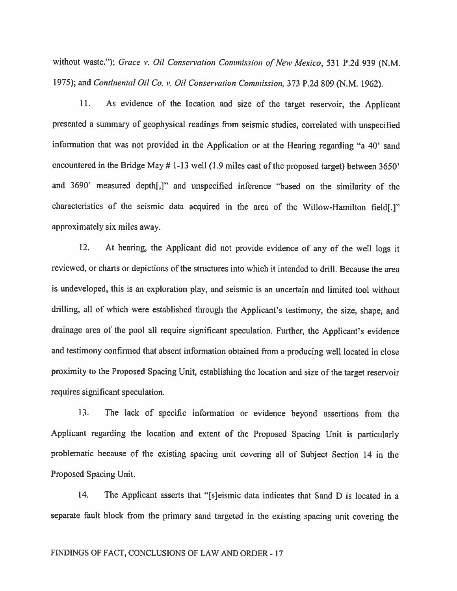without waste."); Grace v. Oil Conservation Commission of New Mexico, 531 P.2d 939 (N.M. 1975); and Continental Oil Co. v. Oil Consen'arion Commission, <sup>373</sup> P.2d 809 (N.M. 1962).

11, As evidence of the location and size of the target reservoir, the Applicant presented <sup>a</sup> summary of geophysical readings from seismic studies, correlated with unspecified information that was not provided in the Application or at the Hearing regarding "a 40' sand encountered in the Bridge May # 1-13 well (1.9 miles east of the proposed target) between 3650' and 3690' measured depth[,]" and unspecified inference "based on the similarity of the characteristics of the seismic data acquired in the area of the Willow-Hamilton field[.]" approximately six miles away.

12. At hearing, the Applicant did not provide evidence of any of the well logs it reviewed, or charts or depictions of the structures into which it intended to drill. Because the area is undeveloped, this is an exploration <sup>p</sup>lay, and seismic is an uncertain and limited tool without drilling, all of which were established through the Applicant's testimony, the size, shape, and drainage area of the poo<sup>l</sup> all require significant speculation. Further, the Applicant's evidence and testimony confirmed that absent information obtained from <sup>a</sup> producing well located in close proximity to the Proposed Spacing Unit, establishing the location and size of the target reservoir requires significant speculation.

13. The lack of specific information or evidence beyond assertions from the Applicant regarding the location and extent of the Proposed Spacing Unit is particularly problematic because of the existing spacing unit covering all of Subject Section <sup>14</sup> in the Proposed Spacing Unit.

14. The Applicant asserts that "[s]eismic data indicates that Sand D is located in <sup>a</sup> separate fault block from the primary sand targeted in the existing spacing unit covering the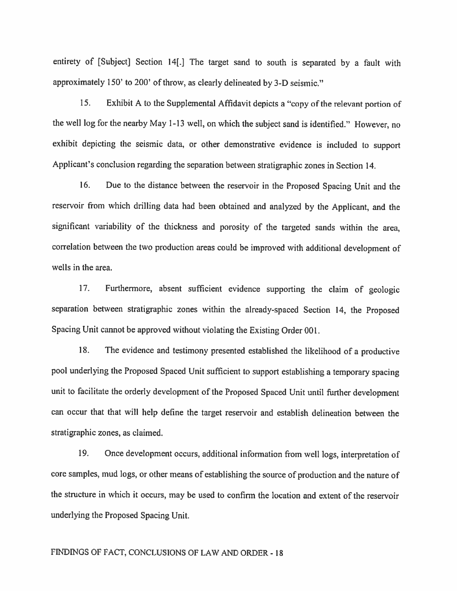entirety of [Subject] Section 14[.] The target sand to south is separated by <sup>a</sup> fault with approximately 150' to 200' of throw, as clearly delineated by 3-D seismic."

15. Exhibit <sup>A</sup> to the Supplemental Affidavit depicts <sup>a</sup> "copy of the relevant portion of the well log for the nearby May 1-13 well, on which the subject sand is identified." However, no exhibit depicting the seismic data, or other demonstrative evidence is included to support Applicant's conclusion regarding the separation between stratigraphic zones in Section 14.

16. Due to the distance between the reservoir in the Proposed Spacing Unit and the reservoir from which drilling data had been obtained and analyzed by the Applicant, and the significant variability of the thickness and porosity of the targeted sands within the area, correlation between the two production areas could be improved with additional development of wells in the area.

17. Furthermore, absent sufficient evidence supporting the claim of geologic separation between stratigraphic zones within the already-spaced Section 14, the Proposed Spacing Unit cannot be approved without violating the Existing Order 001.

18. The evidence and testimony presented established the likelihood of <sup>a</sup> productive poo<sup>l</sup> underlying the Proposed Spaced Unit sufficient to support establishing <sup>a</sup> temporary spacing unit to facilitate the orderly development of the Proposed Spaced Unit until further development can occur that that will help define the target reservoir and establish delineation between the stratigraphic zones, as claimed.

19. Once development occurs, additional information from well logs, interpretation of core samples, mud logs, or other means of establishing the source of production and the nature of the structure in which it occurs, may be used to confirm the location and extent of the reservoir underlying the Proposed Spacing Unit.

# FINDINGS OF FACT, CONCLUSIONS OF LAW AND ORDER - 18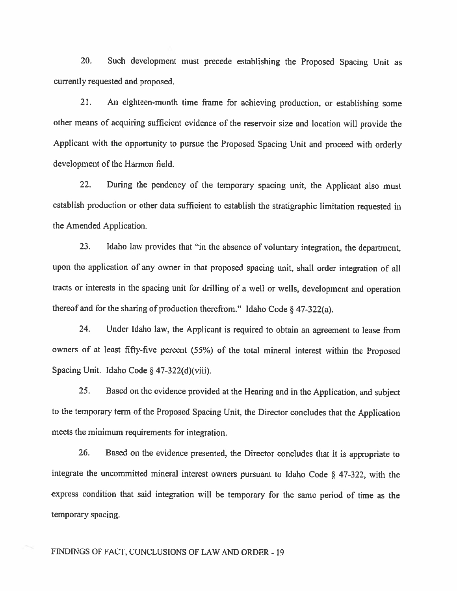20. Such development must precede establishing the Proposed Spacing Unit as currently requested and proposed.

21. An eighteen-month time frame for achieving production, or establishing some other means of acquiring sufficient evidence of the reservoir size and location vill provide the Applicant with the opportunity to pursue the Proposed Spacing Unit and proceed with orderly development of the Harmon field.

22. During the pendency of the temporary spacing unit, the Applicant also must establish production or other data sufficient to establish the stratigraphic limitation requested in the Amended Application.

23. Idaho law provides that "in the absence of voluntary integration, the department, upon the application of any owner in that proposed spacing unit, shall order integration of all tracts or interests in the spacing unit for drilling of <sup>a</sup> well or wells, development and operation thereof and for the sharing of production therefrom." Idaho Code  $\S$  47-322(a).

24. Under Idaho law, the Applicant is required to obtain an agreement to lease from owners of at least fifty-five percent (55%) of the total mineral interest within the Proposed Spacing Unit. Idaho Code § 47-322(d)(viii).

25. Based on the evidence provided at the Hearing and in the Application, and subject to the temporary term of the Proposed Spacing Unit, the Director concludes that the Application meets the minimum requirements for integration.

26. Based on the evidence presented, the Director concludes that it is appropriate to integrate the uncommitted mineral interest owners pursuant to Idaho Code § 47-322, with the express condition that said integration will be temporary for the same period of time as the temporary spacing.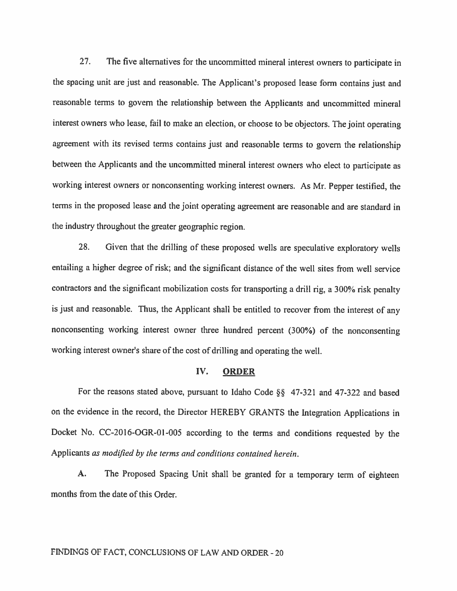27. The five alternatives for the uncommitted mineral interest owners to participate in the spacing unit are just and reasonable. The Applicant's proposed lease form contains just and reasonable terms to govern the relationship between the Applicants and uncommitted mineral interest owners who lease, fail to make an election, or choose to be objectors. The joint operating agreement with its revised terms contains just and reasonable terms to govern the relationship between the Applicants and the uncommitted mineral interest owners who elect to participate as working interest owners or nonconsenting working interest owners. As Mr. Pepper testified, the terms in the proposed lease and the joint operating agreement are reasonable and are standard in the industry throughout the greater geographic region.

28. Given that the drilling of these proposed wells are speculative exploratory wells entailing <sup>a</sup> higher degree of risk; and the significant distance of the well sites from well service contractors and the significant mobilization costs for transporting <sup>a</sup> drill rig, <sup>a</sup> 300% risk penalty is just and reasonable. Thus, the Applicant shall be entitled to recover from the interest of any nonconsenting working interest owner three hundred percent (300%) of the nonconsenting working interest owner's share of the cost of drilling and operating the well.

#### IV. ORDER

For the reasons stated above, pursuant to Idaho Code §§ 47-321 and 47-322 and based on the evidence in the record, the Director HEREBY GRANTS the Integration Applications in Docket No. CC-2016-OGR-0l-005 according to the terms and conditions requested by the Applicants as modified by the terms and conditions contained herein.

A. The Proposed Spacing Unit shall be granted for <sup>a</sup> temporary term of eighteen months from the date of this Order.

# FINDINGS OF FACT, CONCLUSIONS OF LAW AND ORDER -20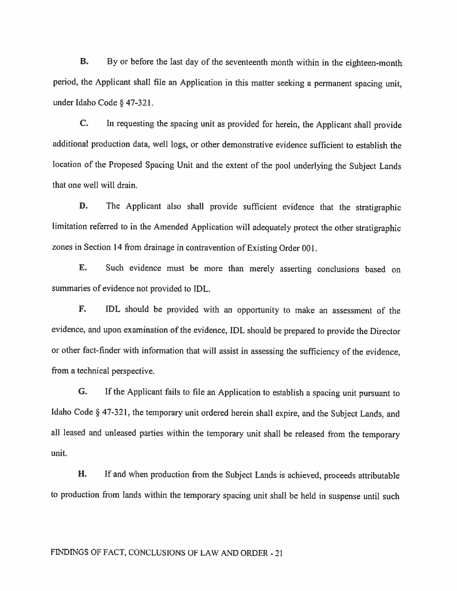B. By or before the last day of the seventeenth month within in the eighteen-month period, the Applicant shall file an Application in this matter seeking <sup>a</sup> permanent spacing unit, under Idaho Code § 47-321.

C. In requesting the spacing unit as provided for herein, the Applicant shall provide additional production data, well logs, or other demonstrative evidence sufficient to establish the location of the Proposed Spacing Unit and the extent of the poo<sup>l</sup> underlying the Subject Lands that one well will drain.

D. The Applicant also shall provide sufficient evidence that the stratigraphic limitation referred to in the Amended Application will adequately protect the other stratigraphic zones in Section <sup>14</sup> from drainage in contravention of Existing Order 001.

E. Such evidence must be more than merely asserting conclusions based on summaries of evidence not provided to IDL.

F. IDL should be provided with an opportunity to make an assessment of the evidence, and upon examination of the evidence, IDL should be prepared to provide the Director or other fact-finder with information that will assist in assessing the sufficiency of the evidence, from <sup>a</sup> technical perspective.

G. If the Applicant fails to file an Application to establish <sup>a</sup> spacing unit pursuant to Idaho Code § 47-321, the temporary unit ordered herein shall expire, and the Subject Lands, and all leased and unleased parties within the temporary unit shall be released from the temporary unit.

H. If and when production from the Subject Lands is achieved, proceeds attributable to production from lands within the temporary spacing unit shall be held in suspense until such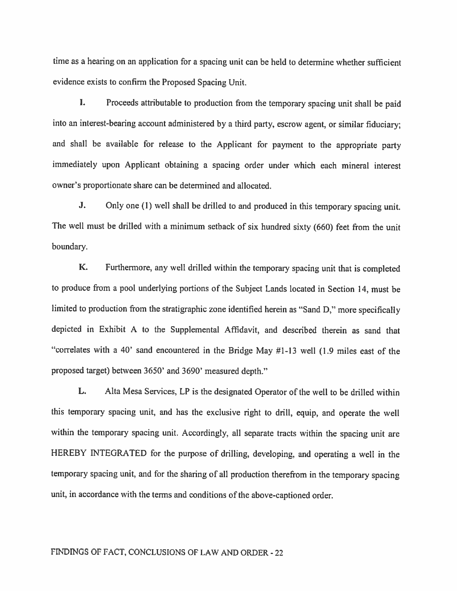time as <sup>a</sup> hearing on an application for <sup>a</sup> spacing unit can be held to determine whether sufficient evidence exists to confirm the Proposed Spacing Unit.

I. Proceeds attributable to production from the temporary spacing unit shall be paid into an interest-bearing account administered by <sup>a</sup> third party, escrow agent, or similar fiduciary; and shall be available for release to the Applicant for payment to the appropriate party immediately upon Applicant obtaining <sup>a</sup> spacing order under which each mineral interest owner's proportionate share can be determined and allocated.

J. Only one (I) well shall be drilled to and produced in this temporary spacing unit. The well must be drilled with <sup>a</sup> minimum setback of six hundred sixty (660) feet from the unit boundary.

K. Furthermore, any well drilled within the temporary spacing unit that is completed to produce from <sup>a</sup> poo<sup>l</sup> underlying portions of the Subject Lands located in Section 14, must be limited to production from the stratigraphic zone identified herein as "Sand D," more specifically depicted in Exhibit <sup>A</sup> to the Supplemental Affidavit, and described therein as sand that "correlates with <sup>a</sup> 40' sand encountered in the Bridge May #1-13 well (1.9 miles east of the proposed target) between 3650' and 3690' measured depth."

L. Alta Mesa Services, LP is the designated Operator of the well to be drilled within this temporary spacing unit, and has the exclusive right to drill, equip, and operate the well within the temporary spacing unit. Accordingly, all separate tracts within the spacing unit are HEREBY INTEGRATED for the purpose of drilling, developing, and operating <sup>a</sup> well in the temporary spacing unit, and for the sharing of all production therefrom in the temporary spacing unit, in accordance with the terms and conditions of the above-captioned order.

# FINDINGS OF FACT, CONCLUSIONS OF LAW AND ORDER -22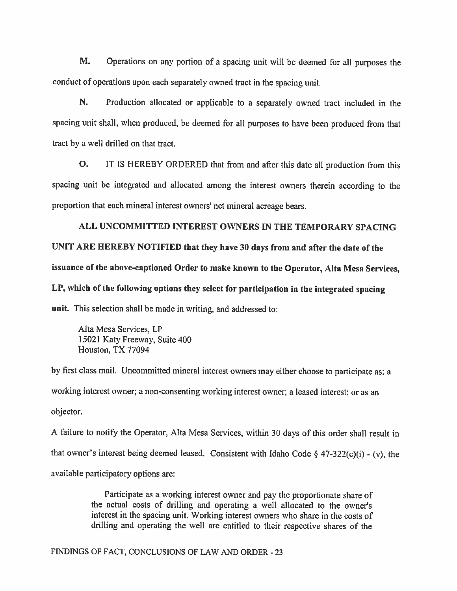M. Operations on any portion of <sup>a</sup> spacing unit will be deemed for all purposes the conduct of operations upon each separately owned tract in the spacing unit.

N. Production allocated or applicable to <sup>a</sup> separately owned tract included in the spacing unit shall, when produced, be deemed for all purposes to have been produced from that tract by <sup>a</sup> vell drilled on that tract.

0. IT IS HEREBY ORDERED that from and after this date all production from this spacing unit be integrated and allocated among the interest owners therein according to the proportion that each mineral interest owners' net mineral acreage bears.

ALL UNCOMMITTED INTEREST OWNERS IN THE TEMPORARY SPACING UNIT ARE HEREBY NOTIFIED that they have 30 days from and after the date of the issuance of the above-captioned Order to make known to the Operator, Alta Mesa Services, LP, which of the following options they select for participation in the integrated spacing unit. This selection shall be made in writing, and addressed to:

Alta Mesa Services, LP 15021 Katy Freeway, Suite 400 Houston, TX 77094

by first class mail. Uncommitted mineral interest owners may either choose to participate as: <sup>a</sup> working interest owner; <sup>a</sup> non-consenting working interest owner; <sup>a</sup> leased interest; or as an objector.

<sup>A</sup> failure to notify the Operator, Alta Mesa Services, within <sup>30</sup> days of this order shall result in that owner's interest being deemed leased. Consistent with Idaho Code § 47-322(c)(i) - (v), the available participatory options are:

> Participate as <sup>a</sup> working interest owner and pay the proportionate share of the actual costs of drilling and operating <sup>a</sup> well allocated to the owner's interest in the spacing unit. Working interest owners who share in the costs of drilling and operating the well are entitled to their respective shares of the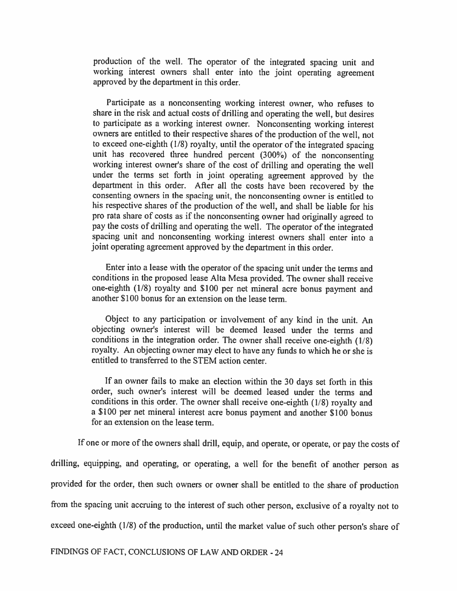production of the well. The operator of the integrated spacing unit and working interest owners shall enter into the joint operating agreement approved by the department in this order.

Participate as <sup>a</sup> nonconsenting working interest owner, who refuses to share in the risk and actual costs of drilling and operating the well, but desires to participate as <sup>a</sup> working interest owner. Nonconsenting working interest owners are entitled to their respective shares of the production of the well, not to exceed one-eighth (1/8) royalty, until the operator of the integrated spacing unit has recovered three hundred percent (300%) of the nonconsenting working interest owner's share of the cost of drilling and operating the well under the terms set forth in joint operating agreement approved by the department in this order. After all the costs have been recovered by the consenting owners in the spacing unit, the nonconsenting owner is entitled to his respective shares of the production of the well, and shall be liable for his pro rata share of costs as if the nonconsenting owner had originally agreed to pay the costs of drilling and operating the well. The operator of the integrated spacing unit and nonconsenting working interest owners shall enter into <sup>a</sup> joint operating agreement approved by the department in this order.

Enter into <sup>a</sup> lease with the operator of the spacing unit under the terms and conditions in the proposed lease Alta Mesa provided. The owner shall receive one-eighth (1/8) royalty and \$100 per net mineral acre bonus payment and another SI 00 bonus for an extension on the lease term.

Object to any participation or involvement of any kind in the unit. An objecting owner's interest will be deemed leased under the terms and conditions in the integration order. The owner shall receive one-eighth (1/8) royalty. An objecting owner may elect to have any funds to which he or she is entitled to transferred to the STEM action center.

If an owner fails to make an election within the <sup>30</sup> days set forth in this order, such owner's interest will be deemed leased under the terms and conditions in this order. The owner shall receive one-eighth (1/8) royalty and <sup>a</sup> SI 00 per net mineral interest acre bonus payment and another SI 00 bonus for an extension on the lease term.

If one or more of the owners shall drill, equip, and operate, or operate, or pay the costs of drilling, equipping, and operating, or operating, <sup>a</sup> well for the benefit of another person as provided for the order, then such owners or owner shall be entitled to the share of production from the spacing unit accruing to the interest of such other person, exclusive of <sup>a</sup> royalty not to exceed one-eighth (1/8) of the production, until the market value of such other person's share of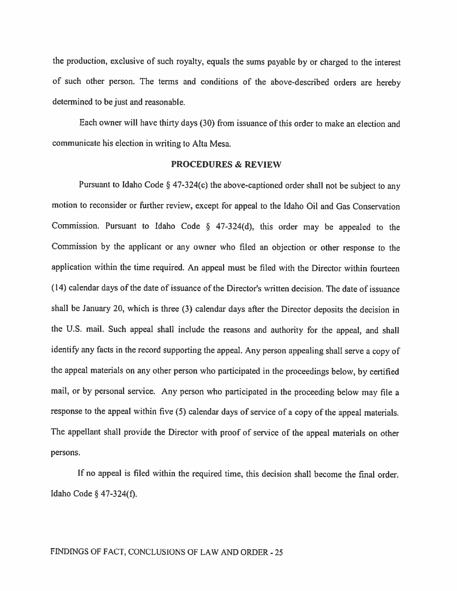the production, exclusive of such royalty, equals the sums payable by or charged to the interest of such other person. The terns and conditions of the above-described orders are hereby determined to be just and reasonable.

Each owner will have thirty days (30) from issuance of this order to make an election and communicate his election in writing to Alta Mesa.

### PROCEDURES & REVIEW

Pursuant to Idaho Code § 47-324(c) the above-captioned order shall not be subject to any motion to reconsider or further review, except for appeal to the Idaho Oil and Gas Conservation Commission. Pursuant to Idaho Code  $\S$  47-324(d), this order may be appealed to the Commission by the applicant or any owner who filed an objection or other response lo the application within the time required. An appeal must be filed with the Director within fourteen (14) calendar days of the date of issuance of the Director's written decision. The date of issuance shall be January 20, which is three (3) calendar days after the Director deposits the decision in the U.S. mail. Such appeal shall include the reasons and authority for the appeal, and shall identify any facts in the record supporting the appeal. Any person appealing shall serve <sup>a</sup> copy of the appeal materials on any other person who participated in the proceedings below, by certified mail, or by personal service. Any person who participated in the proceeding below may file <sup>a</sup> response to the appeal within five (5) calendar days of service of <sup>a</sup> copy of the appeal materials. The appellant shall provide the Director with proof of service of the appeal materials on other persons.

If no appeal is filed within the required time, this decision shall become the final order. Idaho Code § 47-324(f).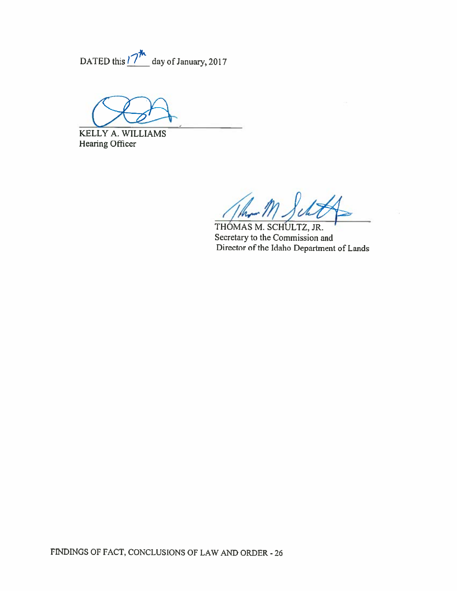$\neg \vphantom{a}^{\ast}$ DATED this *II* day of January, 2017

KELLY A. WILLIAMS Hearing Officer

The

THOMAS M. SCHULTZ, JR. Secretary to the Commission and Director of the Idaho Department of Lands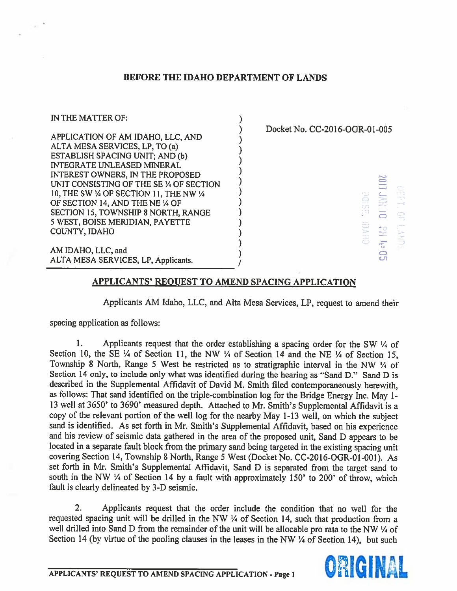# BEFORE THE IDAHO DEPARTMENT OF LANDS



# APPLICANTS' REOUEST TO AMEND SPACING APPLICATION

Applicants AM Idaho, LLC, and AIta Mesa Services, LP, reques<sup>t</sup> to amend their

spacing application as follows:

1. Applicants request that the order establishing a spacing order for the SW  $\frac{1}{4}$  of Section 10, the SE ¼ of Section 11, the NW ¼ of Section 14 and the NE ¼ of Section 15, Township <sup>8</sup> North, Range <sup>5</sup> West be restricted as to stratigraphic interval in the NW <sup>¼</sup> of Section <sup>14</sup> only, to include only what was identified during the hearing as "Sand D." Sand <sup>D</sup> is described in the Supplemental Affidavit of David M. Smith filed contemporaneously herewith, as follows: That sand identified on the triple-combination log for the Bridge Energy Inc. May <sup>I</sup> - <sup>13</sup> well at 3650' to 3690' measured depth. Attached to Mr. Smith's Supplemental Affidavit is <sup>a</sup> copy of the relevant portion of the well log for the nearby May 1-13 well, on which the subject sand is identified. As set forth in Mr. Smith's Supplemental Affidavit, based on his experience and his review of seismic data gathered in the area of the propose<sup>d</sup> unit, Sand <sup>D</sup> appears to be located in <sup>a</sup> separate fault block from the primary sand being targeted in the existing spacing unit covering Section 14, Township 8 North, Range 5 West (Docket No. CC-2016-OGR-01-00l). As set forth in Mr. Smith's Supplemental Affidavit, Sand <sup>D</sup> is separated from the target sand to south in the NW ¼ of Section <sup>14</sup> by <sup>a</sup> fault with approximately 150' to 200' of throw, which fault is clearly delineated by 3-D seismic.

2. Applicants reques<sup>t</sup> that the order include the condition that no well for the requested spacing unit will be drilled in the NW <sup>¼</sup> of Section 14, such that production from <sup>a</sup> well drilled into Sand D from the remainder of the unit will be allocable pro rata to the NW  $\frac{1}{4}$  of Section 14 (by virtue of the pooling clauses in the leases in the NW  $\frac{1}{4}$  of Section 14), but such

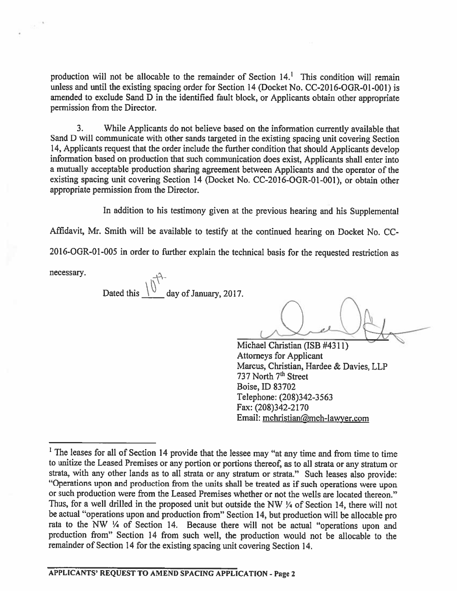production will not be allocable to the remainder of Section 14.' This condition will remain unless and until the existing spacing order for Section 14 (Docket No. CC-2016-OGR-01-001) is amended to exclude Sand <sup>D</sup> in the identified fault block, or Applicants obtain other appropriate permission from the Director.

3. While Applicants do not believe based on the information currently available that Sand <sup>D</sup> will communicate with other sands targeted in the existing spacing unit covering Section 14, Applicants reques<sup>t</sup> that the order include the further condition that should Applicants develop information based on production that such communication does exist, Applicants shall enter into <sup>a</sup> mutually acceptable production sharing agreemen<sup>t</sup> between Applicants and the operator of the existing spacing unit covering Section 14 (Docket No. CC-2016-OGR-01-001), or obtain other appropriate permission from the Director.

In addition to his testimony <sup>g</sup>iven at the previous hearing and his Supplemental

Affidavit, Mr. Smith will be available to testify at the continued hearing on Docket No. CC-

<sup>201</sup> 6-OGR-01-005 in order to further explain the technical basis for the requested restriction as

necessary.

Dated this  $\frac{1}{\sqrt{1}}$  day of January, 2017.

Michael Christian (ISB #4311) Attorneys for Applicant Marcus, Christian, Hardee & Davies, LLP 737 North 7<sup>th</sup> Street Boise, ID 83702 Telephone: (208)342-3563 Fax: (208)342-2170 Email: mchristian@mch-lawyer.com

<sup>&</sup>lt;sup>1</sup> The leases for all of Section 14 provide that the lessee may "at any time and from time to time to unitize the Leased Premises or any portion or portions thereof, as to all strata or any stratum or strata, with any other lands as to all strata or any stratum or strata." Such leases also provide: "Operations upon and production from the units shall be treated as if such operations were upon or such production were from the Leased Premises whether or not the wells are located thereon." Thus, for <sup>a</sup> well drilled in the propose<sup>d</sup> unit but outside the NW <sup>¼</sup> of Section 14, there will not be actual "operations upon and production from" Section 14, but production will be allocable pro rata to the NW <sup>¼</sup> of Section 14. Because there will not be actual "operations upon and production from" Section <sup>14</sup> from such well, the production would not be allocable to the remainder of Section <sup>14</sup> for the existing spacing unit covering Section 14.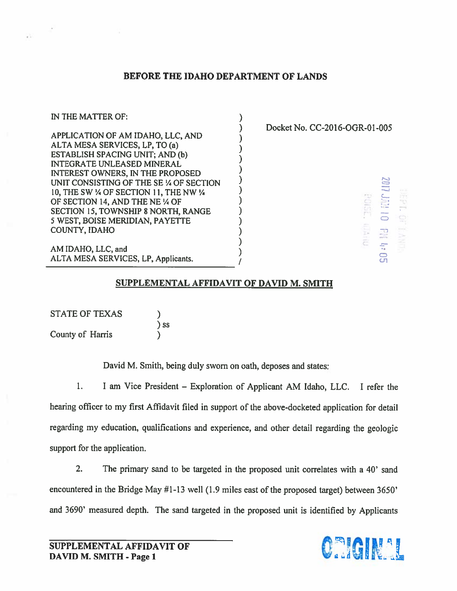# BEFORE THE IDAHO DEPARTMENT OF LANDS

IN THE MATTER OF: APPLICATION OF AM IDAHO, LLC, AND  $\begin{array}{ccc}\n & & \text{Docket No. CC-2016-OGR-01-005}\n\text{ALTA MESA SERVICES, LP, TO (a)}\n\end{array}$ <br>ESTABLISH SPACING UNIT; AND (b) INTEGRATE UNLEASED MINERAL INTEREST OWNERS, IN THE PROPOSED UNIT CONSISTING OF THE SE % OF SECTION 10, THE SW ¼ OF SECTION 11, THE NW ¼<br>
OF SECTION 14, AND THE NE ¼ OF<br>
SECTION 15, TOWNSHIP 8 NORTH, RANGE<br>
5 WEST, BOISE MERIDIAN, PAYETTE<br>
COUNTY, IDAHO<br>
(
) OF SECTION 14, AND THE NE 1/4 OF UNIT CONSISTING OF THE SE % OF SECTION<br>
10, THE SW % OF SECTION 11, THE NW %<br>
OF SECTION 14, AND THE NE % OF<br>
SECTION 15, TOWNSHIP 8 NORTH, RANGE<br>
5 WEST, BOISE MERIDIAN, PAYETTE<br>
COUNTY, IDAHO<br>
AM IDAHO, LLC, and<br>
ALTA ME 5 WEST, BOISE MERIDIAN, PAYETTE COUNTY, IDAHO AM IDAHO, LLC, and<br>
ALTA MESA SERVICES, LP, Applicants.

# SUPPLEMENTAL AFFIDAVIT OF DAVID M. SMITH

| <b>STATE OF TEXAS</b> |           |
|-----------------------|-----------|
|                       | $\sum$ SS |
| County of Harris      |           |

David M. Smith, being duly sworn on oath, deposes and states:

1. <sup>I</sup> am Vice President — Exploration of Applicant AM Idaho, LLC. <sup>I</sup> refer the hearing officer to my first Affidavit filed in suppor<sup>t</sup> of the above-docketed application for detail regarding my education, qualifications and experience, and other detail regarding the geologic suppor<sup>t</sup> for the application.

2. The primary sand to be targeted in the proposed unit correlates with <sup>a</sup> 40' sand encountered in the Bridge May #1-13 well (1.9 miles east of the proposed target) between 3650' and 3690' measured depth. The sand targeted in the propose<sup>d</sup> unit is identified by Applicants

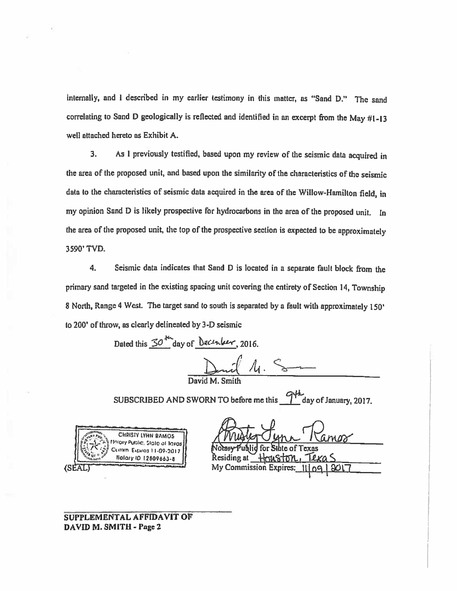internally, and <sup>I</sup> described in my earlier testimony in this matter, as "Sand D." The sand correlating to Sand D geologically is reflected and identified in an excerpt from the May  $\#1-13$ well attached hereto as Exhibit A.

3. As <sup>I</sup> previously testified, based upon my review of the seismic data acquired in the area of the proposed unit, and based upon the similarity of the characteristics of the seismic data to the characteristics of seismic data acquired in the area of the Willow-Hamilton field, in my opinion Sand <sup>D</sup> is likely prospective for hydrocarbons in the area of the proposed unit. In the area of the proposed unit, the top of the prospective section is expected to be approximately 3590' TVD.

4. Seismic data indicates that Sand <sup>D</sup> is located in <sup>a</sup> separate fault block from the primary sand targeted in the existing spacing unit covering the entirety of Section 14, Township 8 North, Range 4 West. The target sand to south is separated by a fault with approximately 150' to 200' of throw, as clearly delineated by 3-D seismic

Dated this  $30\frac{m}{\omega}$  day of *December*, 2016.

David  $D$ mil M. Smith  $\sim$ 

SUBSCRIBED AND SWORN TO before me this  $\frac{q+1}{q}$  day of January, 2017.



Notary Publid for State of Texas iding at My Commission Expires:

SUPPLEMENTAL AFFIDAVIT OF DAVID M. SMITH - Page 2